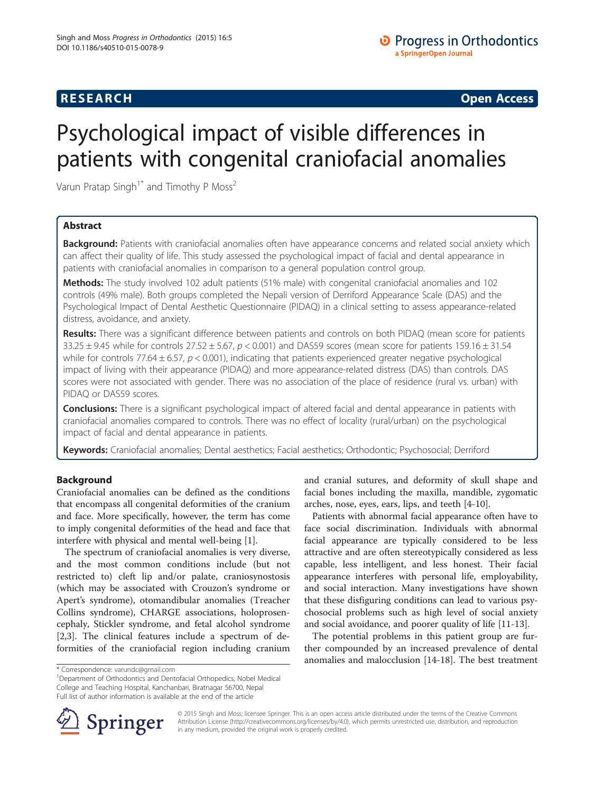# **RESEARCH CHINESE ARCH CHINESE ARCH CHINESE ARCH <b>CHINESE ARCH**

# Psychological impact of visible differences in patients with congenital craniofacial anomalies

Varun Pratap Singh<sup>1\*</sup> and Timothy P Moss<sup>2</sup>

# Abstract

Background: Patients with craniofacial anomalies often have appearance concerns and related social anxiety which can affect their quality of life. This study assessed the psychological impact of facial and dental appearance in patients with craniofacial anomalies in comparison to a general population control group.

Methods: The study involved 102 adult patients (51% male) with congenital craniofacial anomalies and 102 controls (49% male). Both groups completed the Nepali version of Derriford Appearance Scale (DAS) and the Psychological Impact of Dental Aesthetic Questionnaire (PIDAQ) in a clinical setting to assess appearance-related distress, avoidance, and anxiety.

Results: There was a significant difference between patients and controls on both PIDAQ (mean score for patients  $33.25 \pm 9.45$  while for controls  $27.52 \pm 5.67$ ,  $p < 0.001$ ) and DAS59 scores (mean score for patients 159.16  $\pm$  31.54 while for controls 77.64  $\pm$  6.57,  $p < 0.001$ ), indicating that patients experienced greater negative psychological impact of living with their appearance (PIDAQ) and more appearance-related distress (DAS) than controls. DAS scores were not associated with gender. There was no association of the place of residence (rural vs. urban) with PIDAQ or DAS59 scores.

**Conclusions:** There is a significant psychological impact of altered facial and dental appearance in patients with craniofacial anomalies compared to controls. There was no effect of locality (rural/urban) on the psychological impact of facial and dental appearance in patients.

Keywords: Craniofacial anomalies; Dental aesthetics; Facial aesthetics; Orthodontic; Psychosocial; Derriford

# Background

Craniofacial anomalies can be defined as the conditions that encompass all congenital deformities of the cranium and face. More specifically, however, the term has come to imply congenital deformities of the head and face that interfere with physical and mental well-being [[1\]](#page-7-0).

The spectrum of craniofacial anomalies is very diverse, and the most common conditions include (but not restricted to) cleft lip and/or palate, craniosynostosis (which may be associated with Crouzon's syndrome or Apert's syndrome), otomandibular anomalies (Treacher Collins syndrome), CHARGE associations, holoprosencephaly, Stickler syndrome, and fetal alcohol syndrome [[2,3\]](#page-7-0). The clinical features include a spectrum of deformities of the craniofacial region including cranium

<sup>1</sup>Department of Orthodontics and Dentofacial Orthopedics, Nobel Medical College and Teaching Hospital, Kanchanbari, Biratnagar 56700, Nepal Full list of author information is available at the end of the article

and cranial sutures, and deformity of skull shape and facial bones including the maxilla, mandible, zygomatic arches, nose, eyes, ears, lips, and teeth [[4-10\]](#page-7-0).

Patients with abnormal facial appearance often have to face social discrimination. Individuals with abnormal facial appearance are typically considered to be less attractive and are often stereotypically considered as less capable, less intelligent, and less honest. Their facial appearance interferes with personal life, employability, and social interaction. Many investigations have shown that these disfiguring conditions can lead to various psychosocial problems such as high level of social anxiety and social avoidance, and poorer quality of life [[11-13](#page-7-0)].

The potential problems in this patient group are further compounded by an increased prevalence of dental anomalies and malocclusion [\[14](#page-7-0)-[18\]](#page-7-0). The best treatment



© 2015 Singh and Moss; licensee Springer. This is an open access article distributed under the terms of the Creative Commons Attribution License [\(http://creativecommons.org/licenses/by/4.0\)](http://creativecommons.org/licenses/by/4.0), which permits unrestricted use, distribution, and reproduction in any medium, provided the original work is properly credited.

<sup>\*</sup> Correspondence: [varundc@gmail.com](mailto:varundc@gmail.com) <sup>1</sup>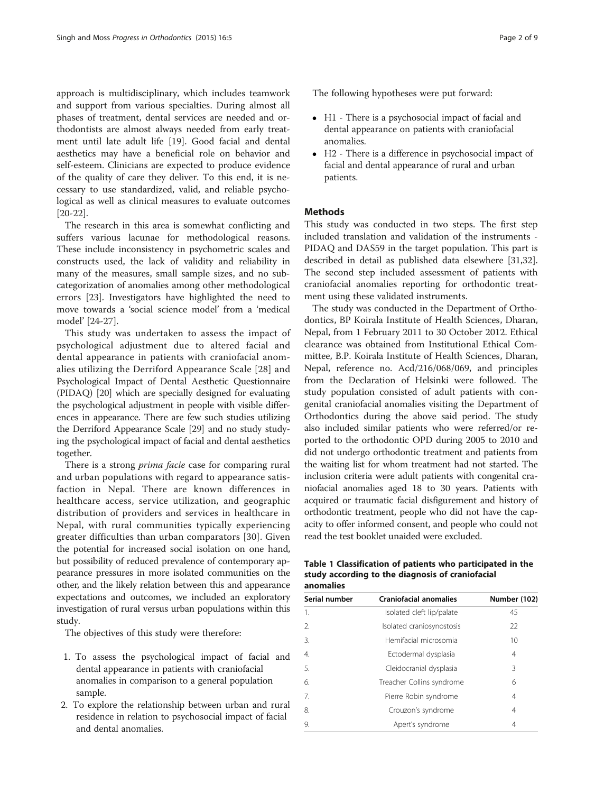<span id="page-1-0"></span>approach is multidisciplinary, which includes teamwork and support from various specialties. During almost all phases of treatment, dental services are needed and orthodontists are almost always needed from early treatment until late adult life [[19\]](#page-7-0). Good facial and dental aesthetics may have a beneficial role on behavior and self-esteem. Clinicians are expected to produce evidence of the quality of care they deliver. To this end, it is necessary to use standardized, valid, and reliable psychological as well as clinical measures to evaluate outcomes [[20-22](#page-7-0)].

The research in this area is somewhat conflicting and suffers various lacunae for methodological reasons. These include inconsistency in psychometric scales and constructs used, the lack of validity and reliability in many of the measures, small sample sizes, and no subcategorization of anomalies among other methodological errors [\[23\]](#page-7-0). Investigators have highlighted the need to move towards a 'social science model' from a 'medical model' [\[24-27](#page-7-0)].

This study was undertaken to assess the impact of psychological adjustment due to altered facial and dental appearance in patients with craniofacial anomalies utilizing the Derriford Appearance Scale [\[28\]](#page-7-0) and Psychological Impact of Dental Aesthetic Questionnaire (PIDAQ) [[20](#page-7-0)] which are specially designed for evaluating the psychological adjustment in people with visible differences in appearance. There are few such studies utilizing the Derriford Appearance Scale [\[29\]](#page-7-0) and no study studying the psychological impact of facial and dental aesthetics together.

There is a strong *prima facie* case for comparing rural and urban populations with regard to appearance satisfaction in Nepal. There are known differences in healthcare access, service utilization, and geographic distribution of providers and services in healthcare in Nepal, with rural communities typically experiencing greater difficulties than urban comparators [[30\]](#page-7-0). Given the potential for increased social isolation on one hand, but possibility of reduced prevalence of contemporary appearance pressures in more isolated communities on the other, and the likely relation between this and appearance expectations and outcomes, we included an exploratory investigation of rural versus urban populations within this study.

The objectives of this study were therefore:

- 1. To assess the psychological impact of facial and dental appearance in patients with craniofacial anomalies in comparison to a general population sample.
- 2. To explore the relationship between urban and rural residence in relation to psychosocial impact of facial and dental anomalies.

The following hypotheses were put forward:

- H1 There is a psychosocial impact of facial and dental appearance on patients with craniofacial anomalies.
- H2 There is a difference in psychosocial impact of facial and dental appearance of rural and urban patients.

## **Methods**

This study was conducted in two steps. The first step included translation and validation of the instruments - PIDAQ and DAS59 in the target population. This part is described in detail as published data elsewhere [\[31,32](#page-7-0)]. The second step included assessment of patients with craniofacial anomalies reporting for orthodontic treatment using these validated instruments.

The study was conducted in the Department of Orthodontics, BP Koirala Institute of Health Sciences, Dharan, Nepal, from 1 February 2011 to 30 October 2012. Ethical clearance was obtained from Institutional Ethical Committee, B.P. Koirala Institute of Health Sciences, Dharan, Nepal, reference no. Acd/216/068/069, and principles from the Declaration of Helsinki were followed. The study population consisted of adult patients with congenital craniofacial anomalies visiting the Department of Orthodontics during the above said period. The study also included similar patients who were referred/or reported to the orthodontic OPD during 2005 to 2010 and did not undergo orthodontic treatment and patients from the waiting list for whom treatment had not started. The inclusion criteria were adult patients with congenital craniofacial anomalies aged 18 to 30 years. Patients with acquired or traumatic facial disfigurement and history of orthodontic treatment, people who did not have the capacity to offer informed consent, and people who could not read the test booklet unaided were excluded.

Table 1 Classification of patients who participated in the study according to the diagnosis of craniofacial anomalies

| Serial number    | <b>Craniofacial anomalies</b> | Number (102) |  |  |
|------------------|-------------------------------|--------------|--|--|
| 1.               | Isolated cleft lip/palate     | 45           |  |  |
| $\mathfrak{D}$   | Isolated craniosynostosis     | $22$         |  |  |
| 3.               | Hemifacial microsomia         | 10           |  |  |
| $\overline{4}$ . | Ectodermal dysplasia          | 4            |  |  |
| 5.               | Cleidocranial dysplasia       | 3            |  |  |
| 6.               | Treacher Collins syndrome     | 6            |  |  |
| 7.               | Pierre Robin syndrome         | 4            |  |  |
| 8.               | Crouzon's syndrome            | 4            |  |  |
| 9.               | Apert's syndrome              | 4            |  |  |
|                  |                               |              |  |  |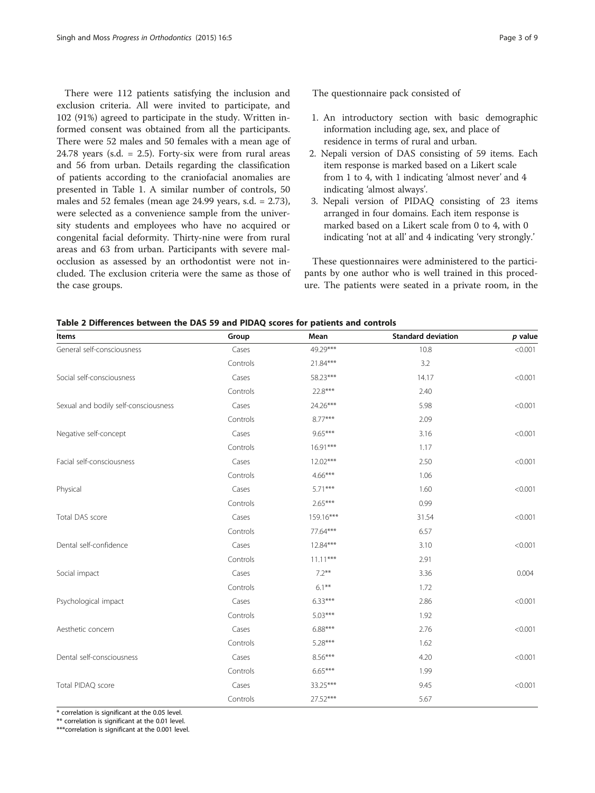<span id="page-2-0"></span>There were 112 patients satisfying the inclusion and exclusion criteria. All were invited to participate, and 102 (91%) agreed to participate in the study. Written informed consent was obtained from all the participants. There were 52 males and 50 females with a mean age of 24.78 years (s.d.  $= 2.5$ ). Forty-six were from rural areas and 56 from urban. Details regarding the classification of patients according to the craniofacial anomalies are presented in Table [1.](#page-1-0) A similar number of controls, 50 males and 52 females (mean age 24.99 years, s.d. = 2.73), were selected as a convenience sample from the university students and employees who have no acquired or congenital facial deformity. Thirty-nine were from rural areas and 63 from urban. Participants with severe malocclusion as assessed by an orthodontist were not included. The exclusion criteria were the same as those of the case groups.

The questionnaire pack consisted of

- 1. An introductory section with basic demographic information including age, sex, and place of residence in terms of rural and urban.
- 2. Nepali version of DAS consisting of 59 items. Each item response is marked based on a Likert scale from 1 to 4, with 1 indicating 'almost never' and 4 indicating 'almost always'.
- 3. Nepali version of PIDAQ consisting of 23 items arranged in four domains. Each item response is marked based on a Likert scale from 0 to 4, with 0 indicating 'not at all' and 4 indicating 'very strongly.'

These questionnaires were administered to the participants by one author who is well trained in this procedure. The patients were seated in a private room, in the

| Items                                | Group    | Mean       | <b>Standard deviation</b> | $p$ value |
|--------------------------------------|----------|------------|---------------------------|-----------|
| General self-consciousness           | Cases    | 49.29***   | 10.8                      | < 0.001   |
|                                      | Controls | 21.84***   | 3.2                       |           |
| Social self-consciousness            | Cases    | 58.23***   | 14.17                     | < 0.001   |
|                                      | Controls | 22.8***    | 2.40                      |           |
| Sexual and bodily self-consciousness | Cases    | 24.26***   | 5.98                      | < 0.001   |
|                                      | Controls | $8.77***$  | 2.09                      |           |
| Negative self-concept                | Cases    | $9.65***$  | 3.16                      | < 0.001   |
|                                      | Controls | $16.91***$ | 1.17                      |           |
| Facial self-consciousness            | Cases    | $12.02***$ | 2.50                      | < 0.001   |
|                                      | Controls | $4.66***$  | 1.06                      |           |
| Physical                             | Cases    | $5.71***$  | 1.60                      | < 0.001   |
|                                      | Controls | $2.65***$  | 0.99                      |           |
| Total DAS score                      | Cases    | 159.16***  | 31.54                     | < 0.001   |
|                                      | Controls | 77.64***   | 6.57                      |           |
| Dental self-confidence               | Cases    | $12.84***$ | 3.10                      | < 0.001   |
|                                      | Controls | $11.11***$ | 2.91                      |           |
| Social impact                        | Cases    | $7.2***$   | 3.36                      | 0.004     |
|                                      | Controls | $6.1***$   | 1.72                      |           |
| Psychological impact                 | Cases    | $6.33***$  | 2.86                      | < 0.001   |
|                                      | Controls | $5.03***$  | 1.92                      |           |
| Aesthetic concern                    | Cases    | $6.88***$  | 2.76                      | < 0.001   |
|                                      | Controls | $5.28***$  | 1.62                      |           |
| Dental self-consciousness            | Cases    | $8.56***$  | 4.20                      | < 0.001   |
|                                      | Controls | $6.65***$  | 1.99                      |           |
| Total PIDAQ score                    | Cases    | 33.25***   | 9.45                      | < 0.001   |
|                                      | Controls | 27.52***   | 5.67                      |           |

Table 2 Differences between the DAS 59 and PIDAQ scores for patients and controls

\* correlation is significant at the 0.05 level.

\*\* correlation is significant at the 0.01 level.

\*\*\*correlation is significant at the 0.001 level.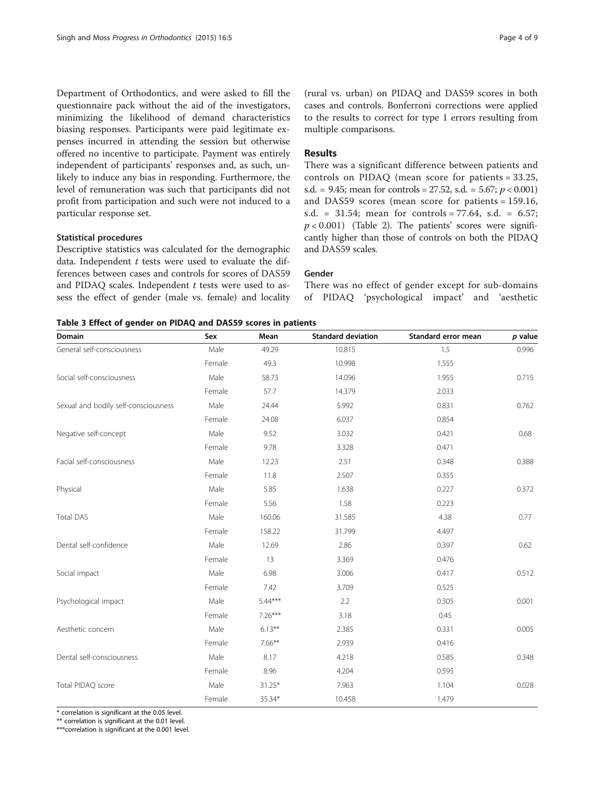<span id="page-3-0"></span>Department of Orthodontics, and were asked to fill the questionnaire pack without the aid of the investigators, minimizing the likelihood of demand characteristics biasing responses. Participants were paid legitimate expenses incurred in attending the session but otherwise offered no incentive to participate. Payment was entirely independent of participants' responses and, as such, unlikely to induce any bias in responding. Furthermore, the level of remuneration was such that participants did not profit from participation and such were not induced to a particular response set.

#### Statistical procedures

Descriptive statistics was calculated for the demographic data. Independent  $t$  tests were used to evaluate the differences between cases and controls for scores of DAS59 and PIDAQ scales. Independent  $t$  tests were used to assess the effect of gender (male vs. female) and locality

(rural vs. urban) on PIDAQ and DAS59 scores in both cases and controls. Bonferroni corrections were applied to the results to correct for type 1 errors resulting from multiple comparisons.

### Results

There was a significant difference between patients and controls on PIDAQ (mean score for patients = 33.25, s.d. = 9.45; mean for controls = 27.52, s.d. = 5.67;  $p < 0.001$ ) and DAS59 scores (mean score for patients = 159.16, s.d. = 31.54; mean for controls =  $77.64$ , s.d. =  $6.57$ ;  $p < 0.001$ ) (Table [2](#page-2-0)). The patients' scores were significantly higher than those of controls on both the PIDAQ and DAS59 scales.

#### Gender

There was no effect of gender except for sub-domains of PIDAQ 'psychological impact' and 'aesthetic

|  |  | Table 3 Effect of gender on PIDAQ and DAS59 scores in patients |  |  |  |  |  |  |  |
|--|--|----------------------------------------------------------------|--|--|--|--|--|--|--|
|--|--|----------------------------------------------------------------|--|--|--|--|--|--|--|

| Domain                               | Sex    | Mean      | <b>Standard deviation</b> | Standard error mean | p value |
|--------------------------------------|--------|-----------|---------------------------|---------------------|---------|
| General self-consciousness           | Male   | 49.29     | 10.815                    | 1.5                 | 0.996   |
|                                      | Female | 49.3      | 10.998                    | 1.555               |         |
| Social self-consciousness            | Male   | 58.73     | 14.096                    | 1.955               | 0.715   |
|                                      | Female | 57.7      | 14.379                    | 2.033               |         |
| Sexual and bodily self-consciousness | Male   | 24.44     | 5.992                     | 0.831               | 0.762   |
|                                      | Female | 24.08     | 6.037                     | 0.854               |         |
| Negative self-concept                | Male   | 9.52      | 3.032                     | 0.421               | 0.68    |
|                                      | Female | 9.78      | 3.328                     | 0.471               |         |
| Facial self-consciousness            | Male   | 12.23     | 2.51                      | 0.348               | 0.388   |
|                                      | Female | 11.8      | 2.507                     | 0.355               |         |
| Physical                             | Male   | 5.85      | 1.638                     | 0.227               | 0.372   |
|                                      | Female | 5.56      | 1.58                      | 0.223               |         |
| <b>Total DAS</b>                     | Male   | 160.06    | 31.585                    | 4.38                | 0.77    |
|                                      | Female | 158.22    | 31.799                    | 4.497               |         |
| Dental self-confidence               | Male   | 12.69     | 2.86                      | 0.397               | 0.62    |
|                                      | Female | 13        | 3.369                     | 0.476               |         |
| Social impact                        | Male   | 6.98      | 3.006                     | 0.417               | 0.512   |
|                                      | Female | 7.42      | 3.709                     | 0.525               |         |
| Psychological impact                 | Male   | $5.44***$ | 2.2                       | 0.305               | 0.001   |
|                                      | Female | $7.26***$ | 3.18                      | 0.45                |         |
| Aesthetic concern                    | Male   | $6.13***$ | 2.385                     | 0.331               | 0.005   |
|                                      | Female | $7.66***$ | 2.939                     | 0.416               |         |
| Dental self-consciousness            | Male   | 8.17      | 4.218                     | 0.585               | 0.348   |
|                                      | Female | 8.96      | 4.204                     | 0.595               |         |
| Total PIDAQ score                    | Male   | $31.25*$  | 7.963                     | 1.104               | 0.028   |
|                                      | Female | 35.34*    | 10.458                    | 1.479               |         |

\* correlation is significant at the 0.05 level.

\*\* correlation is significant at the 0.01 level.

\*\*\*correlation is significant at the 0.001 level.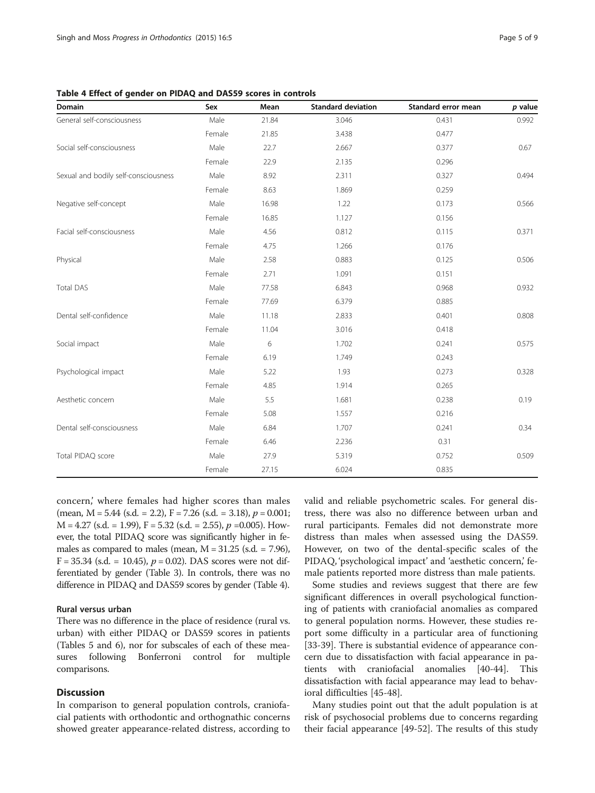| Domain                               | Sex    | Mean  | <b>Standard deviation</b> | Standard error mean | $p$ value |
|--------------------------------------|--------|-------|---------------------------|---------------------|-----------|
| General self-consciousness           | Male   | 21.84 | 3.046                     | 0.431               | 0.992     |
|                                      | Female | 21.85 | 3.438                     | 0.477               |           |
| Social self-consciousness            | Male   | 22.7  | 2.667                     | 0.377               | 0.67      |
|                                      | Female | 22.9  | 2.135                     | 0.296               |           |
| Sexual and bodily self-consciousness | Male   | 8.92  | 2.311                     | 0.327               | 0.494     |
|                                      | Female | 8.63  | 1.869                     | 0.259               |           |
| Negative self-concept                | Male   | 16.98 | 1.22                      | 0.173               | 0.566     |
|                                      | Female | 16.85 | 1.127                     | 0.156               |           |
| Facial self-consciousness            | Male   | 4.56  | 0.812                     | 0.115               | 0.371     |
|                                      | Female | 4.75  | 1.266                     | 0.176               |           |
| Physical                             | Male   | 2.58  | 0.883                     | 0.125               | 0.506     |
|                                      | Female | 2.71  | 1.091                     | 0.151               |           |
| <b>Total DAS</b>                     | Male   | 77.58 | 6.843                     | 0.968               | 0.932     |
|                                      | Female | 77.69 | 6.379                     | 0.885               |           |
| Dental self-confidence               | Male   | 11.18 | 2.833                     | 0.401               | 0.808     |
|                                      | Female | 11.04 | 3.016                     | 0.418               |           |
| Social impact                        | Male   | 6     | 1.702                     | 0.241               | 0.575     |
|                                      | Female | 6.19  | 1.749                     | 0.243               |           |
| Psychological impact                 | Male   | 5.22  | 1.93                      | 0.273               | 0.328     |
|                                      | Female | 4.85  | 1.914                     | 0.265               |           |
| Aesthetic concern                    | Male   | 5.5   | 1.681                     | 0.238               | 0.19      |
|                                      | Female | 5.08  | 1.557                     | 0.216               |           |
| Dental self-consciousness            | Male   | 6.84  | 1.707                     | 0.241               | 0.34      |
|                                      | Female | 6.46  | 2.236                     | 0.31                |           |
| Total PIDAQ score                    | Male   | 27.9  | 5.319                     | 0.752               | 0.509     |
|                                      | Female | 27.15 | 6.024                     | 0.835               |           |

Table 4 Effect of gender on PIDAQ and DAS59 scores in controls

concern,' where females had higher scores than males (mean,  $M = 5.44$  (s.d. = 2.2),  $F = 7.26$  (s.d. = 3.18),  $p = 0.001$ ;  $M = 4.27$  (s.d. = 1.99),  $F = 5.32$  (s.d. = 2.55),  $p = 0.005$ ). However, the total PIDAQ score was significantly higher in females as compared to males (mean,  $M = 31.25$  (s.d. = 7.96),  $F = 35.34$  (s.d. = 10.45),  $p = 0.02$ ). DAS scores were not differentiated by gender (Table [3\)](#page-3-0). In controls, there was no difference in PIDAQ and DAS59 scores by gender (Table 4).

#### Rural versus urban

There was no difference in the place of residence (rural vs. urban) with either PIDAQ or DAS59 scores in patients (Tables [5](#page-5-0) and [6](#page-6-0)), nor for subscales of each of these measures following Bonferroni control for multiple comparisons.

#### **Discussion**

In comparison to general population controls, craniofacial patients with orthodontic and orthognathic concerns showed greater appearance-related distress, according to valid and reliable psychometric scales. For general distress, there was also no difference between urban and rural participants. Females did not demonstrate more distress than males when assessed using the DAS59. However, on two of the dental-specific scales of the PIDAQ, 'psychological impact' and 'aesthetic concern,' female patients reported more distress than male patients.

Some studies and reviews suggest that there are few significant differences in overall psychological functioning of patients with craniofacial anomalies as compared to general population norms. However, these studies report some difficulty in a particular area of functioning [[33-39](#page-7-0)]. There is substantial evidence of appearance concern due to dissatisfaction with facial appearance in patients with craniofacial anomalies [[40-44\]](#page-8-0). This dissatisfaction with facial appearance may lead to behavioral difficulties [\[45](#page-8-0)-[48\]](#page-8-0).

Many studies point out that the adult population is at risk of psychosocial problems due to concerns regarding their facial appearance [[49-52\]](#page-8-0). The results of this study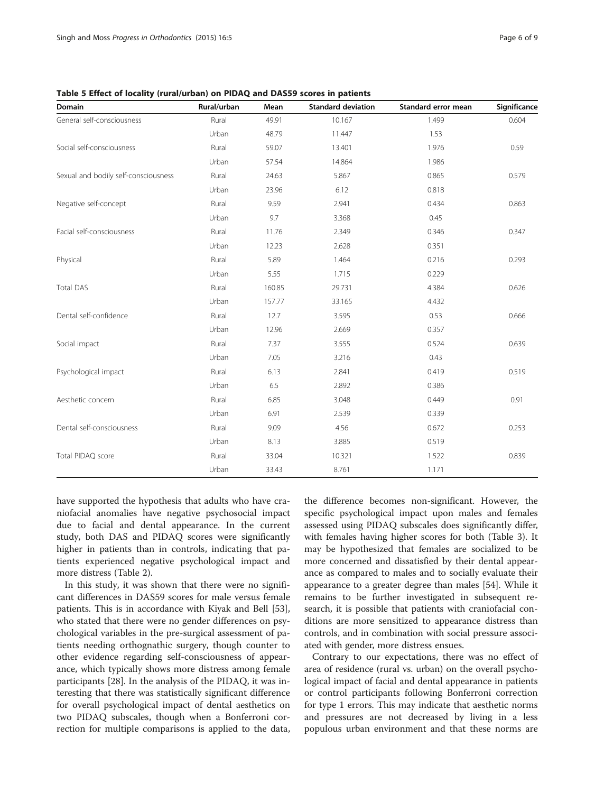| <b>Domain</b>                        | Rural/urban | Mean   | <b>Standard deviation</b> | Standard error mean | Significance |
|--------------------------------------|-------------|--------|---------------------------|---------------------|--------------|
| General self-consciousness           | Rural       | 49.91  | 10.167                    | 1.499               | 0.604        |
|                                      | Urban       | 48.79  | 11.447                    | 1.53                |              |
| Social self-consciousness            | Rural       | 59.07  | 13.401                    | 1.976               | 0.59         |
|                                      | Urban       | 57.54  | 14.864                    | 1.986               |              |
| Sexual and bodily self-consciousness | Rural       | 24.63  | 5.867                     | 0.865               | 0.579        |
|                                      | Urban       | 23.96  | 6.12                      | 0.818               |              |
| Negative self-concept                | Rural       | 9.59   | 2.941                     | 0.434               | 0.863        |
|                                      | Urban       | 9.7    | 3.368                     | 0.45                |              |
| Facial self-consciousness            | Rural       | 11.76  | 2.349                     | 0.346               | 0.347        |
|                                      | Urban       | 12.23  | 2.628                     | 0.351               |              |
| Physical                             | Rural       | 5.89   | 1.464                     | 0.216               | 0.293        |
|                                      | Urban       | 5.55   | 1.715                     | 0.229               |              |
| <b>Total DAS</b>                     | Rural       | 160.85 | 29.731                    | 4.384               | 0.626        |
|                                      | Urban       | 157.77 | 33.165                    | 4.432               |              |
| Dental self-confidence               | Rural       | 12.7   | 3.595                     | 0.53                | 0.666        |
|                                      | Urban       | 12.96  | 2.669                     | 0.357               |              |
| Social impact                        | Rural       | 7.37   | 3.555                     | 0.524               | 0.639        |
|                                      | Urban       | 7.05   | 3.216                     | 0.43                |              |
| Psychological impact                 | Rural       | 6.13   | 2.841                     | 0.419               | 0.519        |
|                                      | Urban       | 6.5    | 2.892                     | 0.386               |              |
| Aesthetic concern                    | Rural       | 6.85   | 3.048                     | 0.449               | 0.91         |
|                                      | Urban       | 6.91   | 2.539                     | 0.339               |              |
| Dental self-consciousness            | Rural       | 9.09   | 4.56                      | 0.672               | 0.253        |
|                                      | Urban       | 8.13   | 3.885                     | 0.519               |              |
| Total PIDAQ score                    | Rural       | 33.04  | 10.321                    | 1.522               | 0.839        |
|                                      | Urban       | 33.43  | 8.761                     | 1.171               |              |

<span id="page-5-0"></span>Table 5 Effect of locality (rural/urban) on PIDAQ and DAS59 scores in patients

have supported the hypothesis that adults who have craniofacial anomalies have negative psychosocial impact due to facial and dental appearance. In the current study, both DAS and PIDAQ scores were significantly higher in patients than in controls, indicating that patients experienced negative psychological impact and more distress (Table [2\)](#page-2-0).

In this study, it was shown that there were no significant differences in DAS59 scores for male versus female patients. This is in accordance with Kiyak and Bell [\[53](#page-8-0)], who stated that there were no gender differences on psychological variables in the pre-surgical assessment of patients needing orthognathic surgery, though counter to other evidence regarding self-consciousness of appearance, which typically shows more distress among female participants [[28\]](#page-7-0). In the analysis of the PIDAQ, it was interesting that there was statistically significant difference for overall psychological impact of dental aesthetics on two PIDAQ subscales, though when a Bonferroni correction for multiple comparisons is applied to the data,

the difference becomes non-significant. However, the specific psychological impact upon males and females assessed using PIDAQ subscales does significantly differ, with females having higher scores for both (Table [3\)](#page-3-0). It may be hypothesized that females are socialized to be more concerned and dissatisfied by their dental appearance as compared to males and to socially evaluate their appearance to a greater degree than males [\[54](#page-8-0)]. While it remains to be further investigated in subsequent research, it is possible that patients with craniofacial conditions are more sensitized to appearance distress than controls, and in combination with social pressure associated with gender, more distress ensues.

Contrary to our expectations, there was no effect of area of residence (rural vs. urban) on the overall psychological impact of facial and dental appearance in patients or control participants following Bonferroni correction for type 1 errors. This may indicate that aesthetic norms and pressures are not decreased by living in a less populous urban environment and that these norms are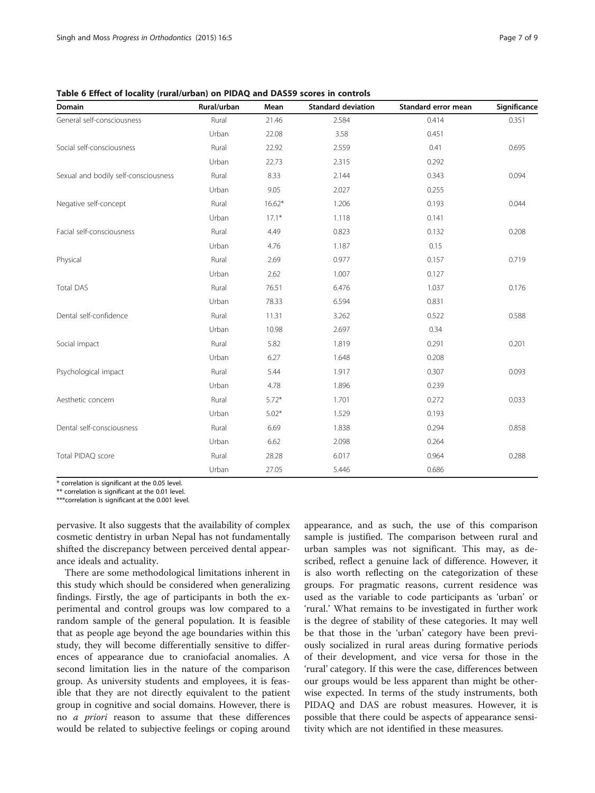| Domain                               | Rural/urban | Mean     | <b>Standard deviation</b> | Standard error mean | Significance |
|--------------------------------------|-------------|----------|---------------------------|---------------------|--------------|
| General self-consciousness           | Rural       | 21.46    | 2.584                     | 0.414               | 0.351        |
|                                      | Urban       | 22.08    | 3.58                      | 0.451               |              |
| Social self-consciousness            | Rural       | 22.92    | 2.559                     | 0.41                | 0.695        |
|                                      | Urban       | 22.73    | 2.315                     | 0.292               |              |
| Sexual and bodily self-consciousness | Rural       | 8.33     | 2.144                     | 0.343               | 0.094        |
|                                      | Urban       | 9.05     | 2.027                     | 0.255               |              |
| Negative self-concept                | Rural       | $16.62*$ | 1.206                     | 0.193               | 0.044        |
|                                      | Urban       | $17.1*$  | 1.118                     | 0.141               |              |
| Facial self-consciousness            | Rural       | 4.49     | 0.823                     | 0.132               | 0.208        |
|                                      | Urban       | 4.76     | 1.187                     | 0.15                |              |
| Physical                             | Rural       | 2.69     | 0.977                     | 0.157               | 0.719        |
|                                      | Urban       | 2.62     | 1.007                     | 0.127               |              |
| <b>Total DAS</b>                     | Rural       | 76.51    | 6.476                     | 1.037               | 0.176        |
|                                      | Urban       | 78.33    | 6.594                     | 0.831               |              |
| Dental self-confidence               | Rural       | 11.31    | 3.262                     | 0.522               | 0.588        |
|                                      | Urban       | 10.98    | 2.697                     | 0.34                |              |
| Social impact                        | Rural       | 5.82     | 1.819                     | 0.291               | 0.201        |
|                                      | Urban       | 6.27     | 1.648                     | 0.208               |              |
| Psychological impact                 | Rural       | 5.44     | 1.917                     | 0.307               | 0.093        |
|                                      | Urban       | 4.78     | 1.896                     | 0.239               |              |
| Aesthetic concern                    | Rural       | $5.72*$  | 1.701                     | 0.272               | 0.033        |
|                                      | Urban       | $5.02*$  | 1.529                     | 0.193               |              |
| Dental self-consciousness            | Rural       | 6.69     | 1.838                     | 0.294               | 0.858        |
|                                      | Urban       | 6.62     | 2.098                     | 0.264               |              |
| Total PIDAQ score                    | Rural       | 28.28    | 6.017                     | 0.964               | 0.288        |
|                                      | Urban       | 27.05    | 5.446                     | 0.686               |              |

<span id="page-6-0"></span>Table 6 Effect of locality (rural/urban) on PIDAQ and DAS59 scores in controls

\* correlation is significant at the 0.05 level.

\*\* correlation is significant at the 0.01 level.

\*\*\*correlation is significant at the 0.001 level.

pervasive. It also suggests that the availability of complex cosmetic dentistry in urban Nepal has not fundamentally shifted the discrepancy between perceived dental appearance ideals and actuality.

There are some methodological limitations inherent in this study which should be considered when generalizing findings. Firstly, the age of participants in both the experimental and control groups was low compared to a random sample of the general population. It is feasible that as people age beyond the age boundaries within this study, they will become differentially sensitive to differences of appearance due to craniofacial anomalies. A second limitation lies in the nature of the comparison group. As university students and employees, it is feasible that they are not directly equivalent to the patient group in cognitive and social domains. However, there is no a priori reason to assume that these differences would be related to subjective feelings or coping around

appearance, and as such, the use of this comparison sample is justified. The comparison between rural and urban samples was not significant. This may, as described, reflect a genuine lack of difference. However, it is also worth reflecting on the categorization of these groups. For pragmatic reasons, current residence was used as the variable to code participants as 'urban' or 'rural.' What remains to be investigated in further work is the degree of stability of these categories. It may well be that those in the 'urban' category have been previously socialized in rural areas during formative periods of their development, and vice versa for those in the 'rural' category. If this were the case, differences between our groups would be less apparent than might be otherwise expected. In terms of the study instruments, both PIDAQ and DAS are robust measures. However, it is possible that there could be aspects of appearance sensitivity which are not identified in these measures.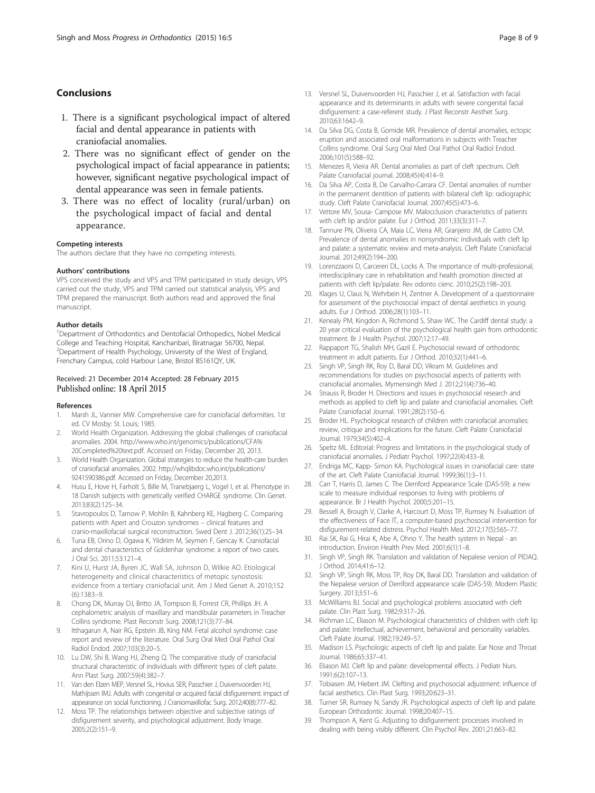# <span id="page-7-0"></span>Conclusions

- 1. There is a significant psychological impact of altered facial and dental appearance in patients with craniofacial anomalies.
- 2. There was no significant effect of gender on the psychological impact of facial appearance in patients; however, significant negative psychological impact of dental appearance was seen in female patients.
- 3. There was no effect of locality (rural/urban) on the psychological impact of facial and dental appearance.

#### Competing interests

The authors declare that they have no competing interests.

#### Authors' contributions

VPS conceived the study and VPS and TPM participated in study design, VPS carried out the study, VPS and TPM carried out statistical analysis, VPS and TPM prepared the manuscript. Both authors read and approved the final manuscript.

#### Author details

<sup>1</sup>Department of Orthodontics and Dentofacial Orthopedics, Nobel Medical College and Teaching Hospital, Kanchanbari, Biratnagar 56700, Nepal. <sup>2</sup>Department of Health Psychology, University of the West of England, Frenchary Campus, cold Harbour Lane, Bristol BS161QY, UK.

#### Received: 21 December 2014 Accepted: 28 February 2015 Published online: 18 April 2015

#### References

- 1. Marsh JL, Vannier MW. Comprehensive care for craniofacial deformities. 1st ed. CV Mosby: St. Louis; 1985.
- 2. World Health Organization. Addressing the global challenges of craniofacial anomalies. 2004. [http://www.who.int/genomics/publications/CFA%](http://www.who.int/genomics/publications/CFA%20Completed%20text.pdf) [20Completed%20text.pdf.](http://www.who.int/genomics/publications/CFA%20Completed%20text.pdf) Accessed on Friday, December 20, 2013.
- 3. World Health Organization. Global strategies to reduce the health-care burden of craniofacial anomalies. 2002. [http://whqlibdoc.who.int/publications/](http://whqlibdoc.who.int/publications/9241590386.pdf) [9241590386.pdf](http://whqlibdoc.who.int/publications/9241590386.pdf). Accessed on Friday, December 20,2013.
- 4. Husu E, Hove H, Farholt S, Bille M, Tranebjaerg L, Vogel I, et al. Phenotype in 18 Danish subjects with genetically verified CHARGE syndrome. Clin Genet. 2013;83(2):125–34.
- 5. Stavropoulos D, Tarnow P, Mohlin B, Kahnberg KE, Hagberg C. Comparing patients with Apert and Crouzon syndromes – clinical features and cranio-maxillofacial surgical reconstruction. Swed Dent J. 2012;36(1):25–34.
- 6. Tuna EB, Orino D, Ogawa K, Yildirim M, Seymen F, Gencay K. Craniofacial and dental characteristics of Goldenhar syndrome: a report of two cases. J Oral Sci. 2011;53:121–4.
- 7. Kini U, Hurst JA, Byren JC, Wall SA, Johnson D, Wilkie AO. Etiological heterogeneity and clinical characteristics of metopic synostosis: evidence from a tertiary craniofacial unit. Am J Med Genet A. 2010;152 (6):1383–9.
- 8. Chong DK, Murray DJ, Britto JA, Tompson B, Forrest CR, Phillips JH. A cephalometric analysis of maxillary and mandibular parameters in Treacher Collins syndrome. Plast Reconstr Surg. 2008;121(3):77–84.
- 9. Itthagarun A, Nair RG, Epstein JB, King NM. Fetal alcohol syndrome: case report and review of the literature. Oral Surg Oral Med Oral Pathol Oral Radiol Endod. 2007;103(3):20–5.
- 10. Lu DW, Shi B, Wang HJ, Zheng Q. The comparative study of craniofacial structural characteristic of individuals with different types of cleft palate. Ann Plast Surg. 2007;59(4):382–7.
- 11. Van den Elzen MEP, Versnel SL, Hovius SER, Passchier J, Duivenvoorden HJ, Mathijssen IMJ. Adults with congenital or acquired facial disfigurement: impact of appearance on social functioning. J Craniomaxillofac Surg. 2012;40(8):777–82.
- 12. Moss TP. The relationships between objective and subjective ratings of disfigurement severity, and psychological adjustment. Body Image. 2005;2(2):151–9.
- 13. Versnel SL, Duivenvoorden HJ, Passchier J, et al. Satisfaction with facial appearance and its determinants in adults with severe congenital facial disfigurement: a case-referent study. J Plast Reconstr Aesthet Surg. 2010;63:1642–9.
- 14. Da Silva DG, Costa B, Gomide MR. Prevalence of dental anomalies, ectopic eruption and associated oral malformations in subjects with Treacher Collins syndrome. Oral Surg Oral Med Oral Pathol Oral Radiol Endod. 2006;101(5):588–92.
- 15. Menezes R, Vieira AR. Dental anomalies as part of cleft spectrum. Cleft Palate Craniofacial journal. 2008;45(4):414–9.
- 16. Da Silva AP, Costa B, De Carvalho-Carrara CF. Dental anomalies of number in the permanent dentition of patients with bilateral cleft lip: radiographic study. Cleft Palate Craniofacial Journal. 2007;45(5):473–6.
- 17. Vettore MV, Sousa- Campose MV. Malocclusion characteristics of patients with cleft lip and/or palate. Eur J Orthod. 2011;33(3):311–7.
- 18. Tannure PN, Oliveira CA, Maia LC, Vieira AR, Granjeiro JM, de Castro CM. Prevalence of dental anomalies in nonsyndromic individuals with cleft lip and palate: a systematic review and meta-analysis. Cleft Palate Craniofacial Journal. 2012;49(2):194–200.
- 19. Lorenzzaoni D, Carcereri DL, Locks A. The importance of multi-professional, interdisciplinary care in rehabilitation and health promotion directed at patients with cleft lip/palate. Rev odonto cienc. 2010;25(2):198–203.
- 20. Klages U, Claus N, Wehrbein H, Zentner A. Development of a questionnaire for assessment of the psychosocial impact of dental aesthetics in young adults. Eur J Orthod. 2006;28(1):103–11.
- 21. Kenealy PM, Kingdon A, Richmond S, Shaw WC. The Cardiff dental study: a 20 year critical evaluation of the psychological health gain from orthodontic treatment. Br J Health Psychol. 2007;12:17–49.
- 22. Rappaport TG, Shalish MH, Gazil E. Psychosocial reward of orthodontic treatment in adult patients. Eur J Orthod. 2010;32(1):441–6.
- 23. Singh VP, Singh RK, Roy D, Baral DD, Vikram M. Guidelines and recommendations for studies on psychosocial aspects of patients with craniofacial anomalies. Mymensingh Med J. 2012;21(4):736–40.
- 24. Strauss R, Broder H. Directions and issues in psychosocial research and methods as applied to cleft lip and palate and craniofacial anomalies. Cleft Palate Craniofacial Journal. 1991;28(2):150–6.
- 25. Broder HL. Psychological research of children with craniofacial anomalies: review, critique and implications for the future. Cleft Palate Craniofacial Journal. 1979;34(5):402–4.
- 26. Speltz ML. Editorial: Progress and limitations in the psychological study of craniofacial anomalies. J Pediatr Psychol. 1997;22(4):433–8.
- 27. Endriga MC, Kapp- Simon KA. Psychological issues in craniofacial care: state of the art. Cleft Palate Craniofacial Journal. 1999;36(1):3–11.
- 28. Carr T, Harris D, James C. The Derriford Appearance Scale (DAS-59): a new scale to measure individual responses to living with problems of appearance. Br J Health Psychol. 2000;5:201–15.
- 29. Bessell A, Brough V, Clarke A, Harcourt D, Moss TP, Rumsey N. Evaluation of the effectiveness of Face IT, a computer-based psychosocial intervention for disfigurement-related distress. Psychol Health Med. 2012;17(5):565–77.
- 30. Rai SK, Rai G, Hirai K, Abe A, Ohno Y. The health system in Nepal an introduction. Environ Health Prev Med. 2001;6(1):1–8.
- 31. Singh VP, Singh RK. Translation and validation of Nepalese version of PIDAQ. J Orthod. 2014;41:6–12.
- 32. Singh VP, Singh RK, Moss TP, Roy DK, Baral DD. Translation and validation of the Nepalese version of Derriford appearance scale (DAS-59). Modern Plastic Surgery. 2013;3:51–6.
- 33. McWilliams BJ. Social and psychological problems associated with cleft palate. Clin Plast Surg. 1982;9:317–26.
- 34. Richman LC, Eliason M. Psychological characteristics of children with cleft lip and palate: Intellectual, achievement, behavioral and personality variables. Cleft Palate Journal. 1982;19:249–57.
- 35. Madison LS. Psychologic aspects of cleft lip and palate. Ear Nose and Throat Journal. 1986;65:337–41.
- 36. Eliason MJ. Cleft lip and palate: developmental effects. J Pediatr Nurs. 1991;6(2):107–13.
- 37. Tobiasen JM, Hiebert JM. Clefting and psychosocial adjustment: influence of facial aesthetics. Clin Plast Surg. 1993;20:623–31.
- 38. Turner SR, Rumsey N, Sandy JR. Psychological aspects of cleft lip and palate. European Orthodontic Journal. 1998;20:407–15.
- 39. Thompson A, Kent G. Adjusting to disfigurement: processes involved in dealing with being visibly different. Clin Psychol Rev. 2001;21:663–82.